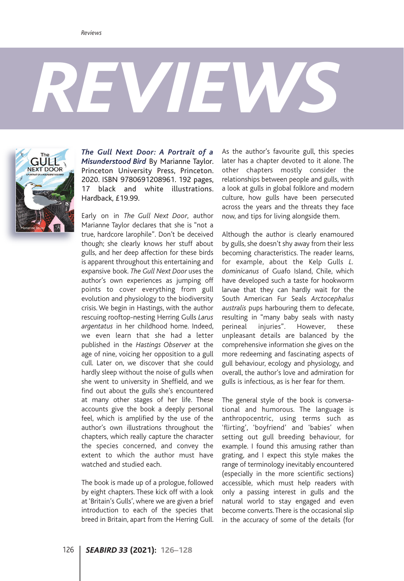## *REVIEWS*



*The Gull Next Door: A Portrait of a Misunderstood Bird* By Marianne Taylor. Princeton University Press, Princeton. 2020. ISBN 9780691208961. 192 pages, 17 black and white illustrations. Hardback, £19.99.

Early on in *The Gull Next Door*, author Marianne Taylor declares that she is "not a true, hardcore larophile". Don't be deceived though; she clearly knows her stuff about gulls, and her deep affection for these birds is apparent throughout this entertaining and expansive book. *The Gull Next Door* uses the author's own experiences as jumping off points to cover everything from gull evolution and physiology to the biodiversity crisis. We begin in Hastings, with the author rescuing rooftop-nesting Herring Gulls *Larus argentatus* in her childhood home. Indeed, we even learn that she had a letter published in the *Hastings Observer* at the age of nine, voicing her opposition to a gull cull. Later on, we discover that she could hardly sleep without the noise of gulls when she went to university in Sheffield, and we find out about the gulls she's encountered at many other stages of her life. These accounts give the book a deeply personal feel, which is amplified by the use of the author's own illustrations throughout the chapters, which really capture the character the species concerned, and convey the extent to which the author must have watched and studied each.

The book is made up of a prologue, followed by eight chapters. These kick off with a look at 'Britain's Gulls', where we are given a brief introduction to each of the species that breed in Britain, apart from the Herring Gull. As the author's favourite gull, this species later has a chapter devoted to it alone. The other chapters mostly consider the relationships between people and gulls, with a look at gulls in global folklore and modern culture, how gulls have been persecuted across the years and the threats they face now, and tips for living alongside them.

Although the author is clearly enamoured by gulls, she doesn't shy away from their less becoming characteristics. The reader learns, for example, about the Kelp Gulls *L. dominicanus* of Guafo Island, Chile, which have developed such a taste for hookworm larvae that they can hardly wait for the South American Fur Seals *Arctocephalus australis* pups harbouring them to defecate, resulting in "many baby seals with nasty perineal injuries". However, these unpleasant details are balanced by the comprehensive information she gives on the more redeeming and fascinating aspects of gull behaviour, ecology and physiology, and overall, the author's love and admiration for gulls is infectious, as is her fear for them.

The general style of the book is conversational and humorous. The language is anthropocentric, using terms such as 'flirting', 'boyfriend' and 'babies' when setting out gull breeding behaviour, for example. I found this amusing rather than grating, and I expect this style makes the range of terminology inevitably encountered (especially in the more scientific sections) accessible, which must help readers with only a passing interest in gulls and the natural world to stay engaged and even become converts. There is the occasional slip in the accuracy of some of the details (for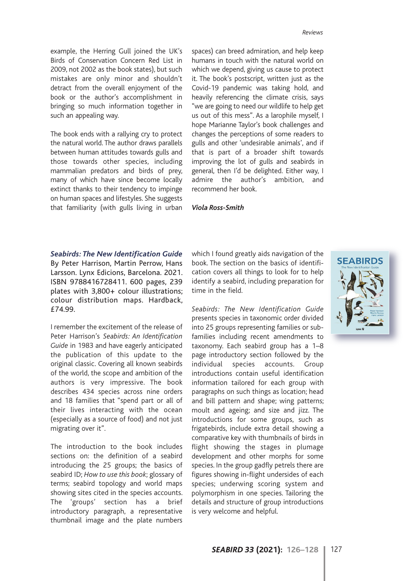example, the Herring Gull joined the UK's Birds of Conservation Concern Red List in 2009, not 2002 as the book states), but such mistakes are only minor and shouldn't detract from the overall enjoyment of the book or the author's accomplishment in bringing so much information together in such an appealing way.

The book ends with a rallying cry to protect the natural world. The author draws parallels between human attitudes towards gulls and those towards other species, including mammalian predators and birds of prey, many of which have since become locally extinct thanks to their tendency to impinge on human spaces and lifestyles. She suggests that familiarity (with gulls living in urban spaces) can breed admiration, and help keep humans in touch with the natural world on which we depend, giving us cause to protect it. The book's postscript, written just as the Covid-19 pandemic was taking hold, and heavily referencing the climate crisis, says "we are going to need our wildlife to help get us out of this mess". As a larophile myself, I hope Marianne Taylor's book challenges and changes the perceptions of some readers to gulls and other 'undesirable animals', and if that is part of a broader shift towards improving the lot of gulls and seabirds in general, then I'd be delighted. Either way, I admire the author's ambition, and recommend her book.

*Viola Ross-Smith*

*Seabirds: The New Identification Guide* By Peter Harrison, Martin Perrow, Hans Larsson. Lynx Edicions, Barcelona. 2021. ISBN 9788416728411. 600 pages, 239 plates with 3,800+ colour illustrations; colour distribution maps. Hardback, £74.99.

I remember the excitement of the release of Peter Harrison's *Seabirds: An Identification Guide* in 1983 and have eagerly anticipated the publication of this update to the original classic. Covering all known seabirds of the world, the scope and ambition of the authors is very impressive. The book describes 434 species across nine orders and 18 families that "spend part or all of their lives interacting with the ocean (especially as a source of food) and not just migrating over it".

The introduction to the book includes sections on: the definition of a seabird introducing the 25 groups; the basics of seabird ID; *How to use this book*; glossary of terms; seabird topology and world maps showing sites cited in the species accounts. The 'groups' section has a brief introductory paragraph, a representative thumbnail image and the plate numbers which I found greatly aids navigation of the book. The section on the basics of identification covers all things to look for to help identify a seabird, including preparation for time in the field.

*Seabirds: The New Identification Guide* presents species in taxonomic order divided into 25 groups representing families or subfamilies including recent amendments to taxonomy. Each seabird group has a 1–8 page introductory section followed by the individual species accounts. Group introductions contain useful identification information tailored for each group with paragraphs on such things as location; head and bill pattern and shape; wing patterns; moult and ageing; and size and jizz. The introductions for some groups, such as frigatebirds, include extra detail showing a comparative key with thumbnails of birds in flight showing the stages in plumage development and other morphs for some species. In the group gadfly petrels there are figures showing in-flight undersides of each species; underwing scoring system and polymorphism in one species. Tailoring the details and structure of group introductions is very welcome and helpful.